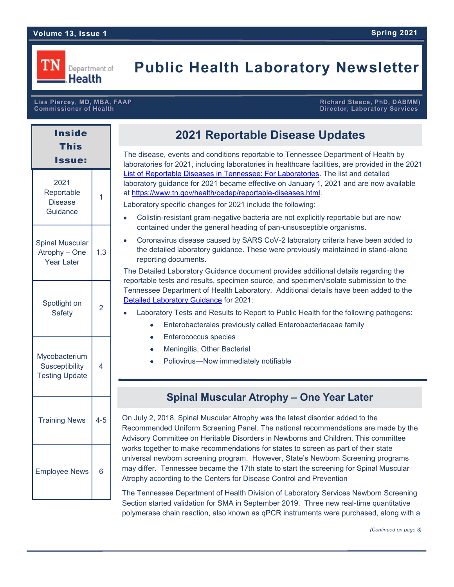# **Public Health Laboratory Newsletter**

# **Commissioner of Health Director, Laboratory Services**

**Lisa Piercey, MD, MBA, FAAP Richard Steece, PhD, DABMM)** 

| <b>Inside</b><br><b>This</b><br>lssue:                   |         |
|----------------------------------------------------------|---------|
| 2021<br>Reportable<br><b>Disease</b><br>Guidance         | 1       |
| <b>Spinal Muscular</b><br>Atrophy - One<br>Year Later    | 1,3     |
| Spotlight on<br><b>Safety</b>                            | 2       |
| Mycobacterium<br>Susceptibility<br><b>Testing Update</b> | 4       |
| <b>Training News</b>                                     | $4 - 5$ |
| <b>Employee News</b>                                     | 6       |

# **2021 Reportable Disease Updates**

The disease, events and conditions reportable to Tennessee Department of Health by laboratories for 2021, including laboratories in healthcare facilities, are provided in the 2021 [List of Reportable Diseases in Tennessee: For Laboratories.](https://www.tn.gov/content/dam/tn/health/documents/reportable-diseases/Lab-list-2021.pdf) The list and detailed laboratory guidance for 2021 became effective on January 1, 2021 and are now available at [https://www.tn.gov/health/cedep/reportable](https://www.tn.gov/health/cedep/reportable-diseases.html)-diseases.html.

Laboratory specific changes for 2021 include the following:

- Colistin-resistant gram-negative bacteria are not explicitly reportable but are now contained under the general heading of pan-unsusceptible organisms.
- Coronavirus disease caused by SARS CoV-2 laboratory criteria have been added to the detailed laboratory guidance. These were previously maintained in stand-alone reporting documents.

The Detailed Laboratory Guidance document provides additional details regarding the reportable tests and results, specimen source, and specimen/isolate submission to the Tennessee Department of Health Laboratory. Additional details have been added to the [Detailed Laboratory Guidance](https://www.tn.gov/content/dam/tn/health/documents/reportable-diseases/2021_Detailed_Laboratory_Guidance_Final.pdf) for 2021:

- Laboratory Tests and Results to Report to Public Health for the following pathogens:
	- Enterobacterales previously called Enterobacteriaceae family
	- Enterococcus species
	- Meningitis, Other Bacterial
	- Poliovirus—Now immediately notifiable

## **Spinal Muscular Atrophy – One Year Later**

On July 2, 2018, Spinal Muscular Atrophy was the latest disorder added to the Recommended Uniform Screening Panel. The national recommendations are made by the Advisory Committee on Heritable Disorders in Newborns and Children. This committee works together to make recommendations for states to screen as part of their state universal newborn screening program. However, State's Newborn Screening programs may differ. Tennessee became the 17th state to start the screening for Spinal Muscular Atrophy according to the Centers for Disease Control and Prevention

The Tennessee Department of Health Division of Laboratory Services Newborn Screening Section started validation for SMA in September 2019. Three new real-time quantitative polymerase chain reaction, also known as qPCR instruments were purchased, along with a

*(Continued on page 3)*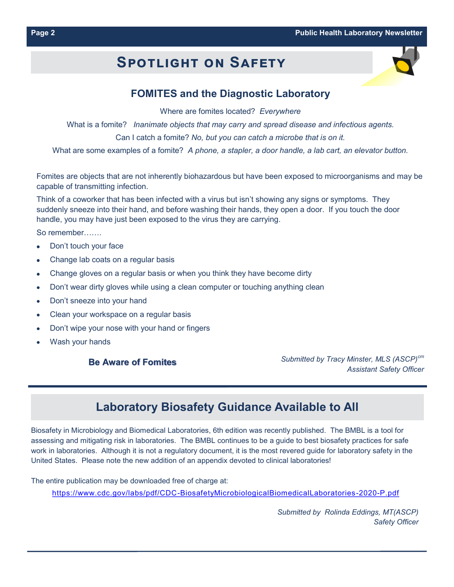# **Spotlight on Safety**



## **FOMITES and the Diagnostic Laboratory**

Where are fomites located? *Everywhere*

What is a fomite? *Inanimate objects that may carry and spread disease and infectious agents.* Can I catch a fomite? *No, but you can catch a microbe that is on it.*

What are some examples of a fomite? *A phone, a stapler, a door handle, a lab cart, an elevator button.*

Fomites are objects that are not inherently biohazardous but have been exposed to microorganisms and may be capable of transmitting infection.

Think of a coworker that has been infected with a virus but isn't showing any signs or symptoms. They suddenly sneeze into their hand, and before washing their hands, they open a door. If you touch the door handle, you may have just been exposed to the virus they are carrying.

So remember…….

- Don't touch your face
- Change lab coats on a regular basis
- Change gloves on a regular basis or when you think they have become dirty
- Don't wear dirty gloves while using a clean computer or touching anything clean
- Don't sneeze into your hand
- Clean your workspace on a regular basis
- Don't wipe your nose with your hand or fingers
- Wash your hands

#### **Be Aware of Fomites**

*Submitted by Tracy Minster, MLS (ASCP)cm Assistant Safety Officer*

# **Laboratory Biosafety Guidance Available to All**

Biosafety in Microbiology and Biomedical Laboratories, 6th edition was recently published. The BMBL is a tool for assessing and mitigating risk in laboratories. The BMBL continues to be a guide to best biosafety practices for safe work in laboratories. Although it is not a regulatory document, it is the most revered guide for laboratory safety in the United States. Please note the new addition of an appendix devoted to clinical laboratories!

The entire publication may be downloaded free of charge at:

https://www.cdc.gov/labs/pdf/CDC-[BiosafetyMicrobiologicalBiomedicalLaboratories](https://www.cdc.gov/labs/pdf/CDC-BiosafetyMicrobiologicalBiomedicalLaboratories-2020-P.pdf)-2020-P.pdf

*Submitted by Rolinda Eddings, MT(ASCP) Safety Officer*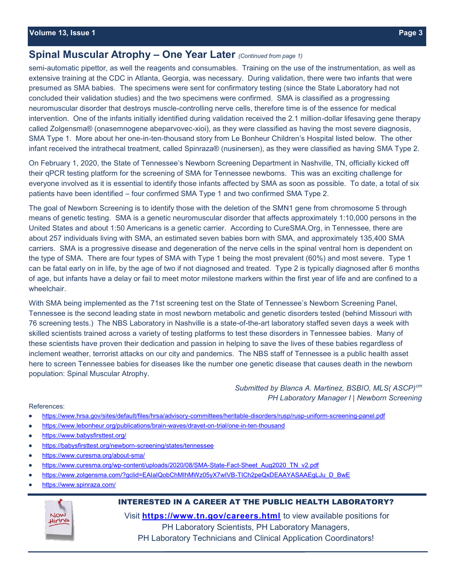## **Spinal Muscular Atrophy – One Year Later** *(Continued from page 1)*

semi-automatic pipettor, as well the reagents and consumables. Training on the use of the instrumentation, as well as extensive training at the CDC in Atlanta, Georgia, was necessary. During validation, there were two infants that were presumed as SMA babies. The specimens were sent for confirmatory testing (since the State Laboratory had not concluded their validation studies) and the two specimens were confirmed. SMA is classified as a progressing neuromuscular disorder that destroys muscle-controlling nerve cells, therefore time is of the essence for medical intervention. One of the infants initially identified during validation received the 2.1 million-dollar lifesaving gene therapy called Zolgensma® (onasemnogene abeparvovec-xioi), as they were classified as having the most severe diagnosis, SMA Type 1. More about her one-in-ten-thousand story from Le Bonheur Children's Hospital listed below. The other infant received the intrathecal treatment, called Spinraza® (nusinersen), as they were classified as having SMA Type 2.

On February 1, 2020, the State of Tennessee's Newborn Screening Department in Nashville, TN, officially kicked off their qPCR testing platform for the screening of SMA for Tennessee newborns. This was an exciting challenge for everyone involved as it is essential to identify those infants affected by SMA as soon as possible. To date, a total of six patients have been identified – four confirmed SMA Type 1 and two confirmed SMA Type 2.

The goal of Newborn Screening is to identify those with the deletion of the SMN1 gene from chromosome 5 through means of genetic testing. SMA is a genetic neuromuscular disorder that affects approximately 1:10,000 persons in the United States and about 1:50 Americans is a genetic carrier. According to CureSMA.Org, in Tennessee, there are about 257 individuals living with SMA, an estimated seven babies born with SMA, and approximately 135,400 SMA carriers. SMA is a progressive disease and degeneration of the nerve cells in the spinal ventral horn is dependent on the type of SMA. There are four types of SMA with Type 1 being the most prevalent (60%) and most severe. Type 1 can be fatal early on in life, by the age of two if not diagnosed and treated. Type 2 is typically diagnosed after 6 months of age, but infants have a delay or fail to meet motor milestone markers within the first year of life and are confined to a wheelchair.

With SMA being implemented as the 71st screening test on the State of Tennessee's Newborn Screening Panel, Tennessee is the second leading state in most newborn metabolic and genetic disorders tested (behind Missouri with 76 screening tests.) The NBS Laboratory in Nashville is a state-of-the-art laboratory staffed seven days a week with skilled scientists trained across a variety of testing platforms to test these disorders in Tennessee babies. Many of these scientists have proven their dedication and passion in helping to save the lives of these babies regardless of inclement weather, terrorist attacks on our city and pandemics. The NBS staff of Tennessee is a public health asset here to screen Tennessee babies for diseases like the number one genetic disease that causes death in the newborn population: Spinal Muscular Atrophy.

> Submitted by Blanca A. Martinez, BSBIO, MLS(ASCP)<sup>cm</sup> *PH Laboratory Manager I | Newborn Screening*

References:

- [https://www.hrsa.gov/sites/default/files/hrsa/advisory](https://www.hrsa.gov/sites/default/files/hrsa/advisory-committees/heritable-disorders/rusp/rusp-uniform-screening-panel.pdf)-committees/heritable-disorders/rusp/rusp-uniform-screening-panel.pdf  $\bullet$
- [https://www.lebonheur.org/publications/brain](https://www.hrsa.gov/sites/default/files/hrsa/advisory-committees/heritable-disorders/rusp/rusp-uniform-screening-panel.pdf)-waves/dravet-on-trial/one-in-ten-thousand
- <https://www.babysfirsttest.org/>
- [https://babysfirsttest.org/newborn](https://www.babysfirsttest.org/)-screening/states/tennessee
- [https://www.curesma.org/about](https://www.babysfirsttest.org/)-sma/
- https://www.curesma.org/wp-[content/uploads/2020/08/SMA](https://www.curesma.org/wp-content/uploads/2020/08/SMA-State-Fact-Sheet_Aug2020_TN_v2.pdf)-State-Fact-Sheet\_Aug2020\_TN\_v2.pdf
- [https://www.zolgensma.com/?gclid=EAIaIQobChMIhMWz05yX7wIVB](https://www.curesma.org/wp-content/uploads/2020/08/SMA-State-Fact-Sheet_Aug2020_TN_v2.pdf)-TICh2peQxDEAAYASAAEgLJu\_D\_BwE
- [https://www.spinraza.com/](https://www.curesma.org/wp-content/uploads/2020/08/SMA-State-Fact-Sheet_Aug2020_TN_v2.pdf)



**INTERESTED IN A CAREER AT THE PUBLIC HEALTH LABORATORY?**

Visit **<https://www.tn.gov/careers.html>** to view available positions for PH Laboratory Scientists, PH Laboratory Managers, PH Laboratory Technicians and Clinical Application Coordinators!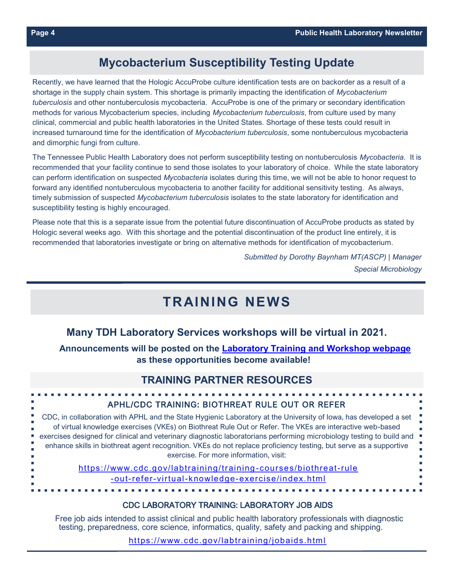## **Mycobacterium Susceptibility Testing Update**

Recently, we have learned that the Hologic AccuProbe culture identification tests are on backorder as a result of a shortage in the supply chain system. This shortage is primarily impacting the identification of *Mycobacterium tuberculosis* and other nontuberculosis mycobacteria. AccuProbe is one of the primary or secondary identification methods for various Mycobacterium species, including *Mycobacterium tuberculosis*, from culture used by many clinical, commercial and public health laboratories in the United States. Shortage of these tests could result in increased turnaround time for the identification of *Mycobacterium tuberculosis*, some nontuberculous mycobacteria and dimorphic fungi from culture.

The Tennessee Public Health Laboratory does not perform susceptibility testing on nontuberculosis *Mycobacteria*. It is recommended that your facility continue to send those isolates to your laboratory of choice. While the state laboratory can perform identification on suspected *Mycobacteria* isolates during this time, we will not be able to honor request to forward any identified nontuberculous mycobacteria to another facility for additional sensitivity testing. As always, timely submission of suspected *Mycobacterium tuberculosis* isolates to the state laboratory for identification and susceptibility testing is highly encouraged.

Please note that this is a separate issue from the potential future discontinuation of AccuProbe products as stated by Hologic several weeks ago. With this shortage and the potential discontinuation of the product line entirely, it is recommended that laboratories investigate or bring on alternative methods for identification of mycobacterium.

> *Submitted by Dorothy Baynham MT(ASCP) | Manager Special Microbiology*

# **TRAINING NEWS**

## **Many TDH Laboratory Services workshops will be virtual in 2021.**

**Announcements will be posted on the [Laboratory Training and Workshop webpage](https://www.tn.gov/health/health-program-areas/lab/lab-education.html) as these opportunities become available!**

### **TRAINING PARTNER RESOURCES**

| APHL/CDC TRAINING: BIOTHREAT RULE OUT OR REFER                                                                                                                                                                                                                                                                                                                                                                                                                                                                        |
|-----------------------------------------------------------------------------------------------------------------------------------------------------------------------------------------------------------------------------------------------------------------------------------------------------------------------------------------------------------------------------------------------------------------------------------------------------------------------------------------------------------------------|
| CDC, in collaboration with APHL and the State Hygienic Laboratory at the University of Iowa, has developed a set<br>of virtual knowledge exercises (VKEs) on Biothreat Rule Out or Refer. The VKEs are interactive web-based<br>• exercises designed for clinical and veterinary diagnostic laboratorians performing microbiology testing to build and<br>enhance skills in biothreat agent recognition. VKEs do not replace proficiency testing, but serve as a supportive<br>exercise. For more information, visit: |
| https://www.cdc.gov/labtraining/training-courses/biothreat-rule<br>-out-refer-virtual-knowledge-exercise/index.html                                                                                                                                                                                                                                                                                                                                                                                                   |
|                                                                                                                                                                                                                                                                                                                                                                                                                                                                                                                       |

#### CDC LABORATORY TRAINING: LABORATORY JOB AIDS

Free job aids intended to assist clinical and public health laboratory professionals with diagnostic testing, preparedness, core science, informatics, quality, safety and packing and shipping.

<https://www.cdc.gov/labtraining/jobaids.html>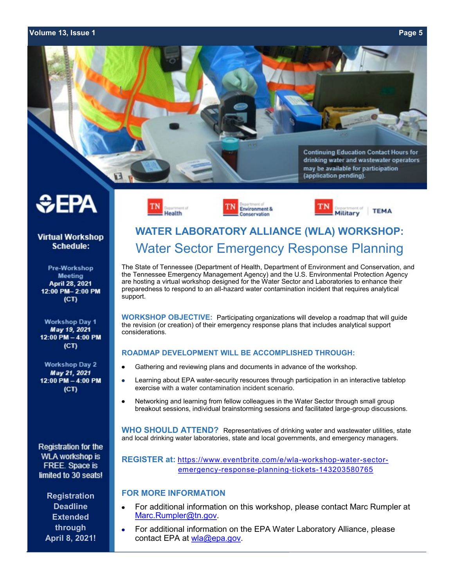#### **Volume 13, Issue 1 Page 5**











**Virtual Workshop Schedule:** 

Pre-Workshop **Meeting** April 28, 2021 12:00 PM-2:00 PM  $(CT)$ 

**Workshop Day 1** May 19, 2021 12:00 PM - 4:00 PM  $(CT)$ 

**Workshop Day 2** May 21, 2021 12:00 PM - 4:00 PM  $(CT)$ 

**Registration for the WLA workshop is** FREE. Space is limited to 30 seats!

**Registration Deadline Extended through April 8, 2021!**

# **WATER LABORATORY ALLIANCE (WLA) WORKSHOP:** Water Sector Emergency Response Planning

The State of Tennessee (Department of Health, Department of Environment and Conservation, and the Tennessee Emergency Management Agency) and the U.S. Environmental Protection Agency are hosting a virtual workshop designed for the Water Sector and Laboratories to enhance their preparedness to respond to an all-hazard water contamination incident that requires analytical support.

**WORKSHOP OBJECTIVE:** Participating organizations will develop a roadmap that will guide the revision (or creation) of their emergency response plans that includes analytical support considerations.

#### **ROADMAP DEVELOPMENT WILL BE ACCOMPLISHED THROUGH:**

- Gathering and reviewing plans and documents in advance of the workshop.
- Learning about EPA water-security resources through participation in an interactive tabletop exercise with a water contamination incident scenario.
- Networking and learning from fellow colleagues in the Water Sector through small group breakout sessions, individual brainstorming sessions and facilitated large-group discussions.

**WHO SHOULD ATTEND?** Representatives of drinking water and wastewater utilities, state and local drinking water laboratories, state and local governments, and emergency managers.

**REGISTER at:** [https://www.eventbrite.com/e/wla](https://www.eventbrite.com/e/wla-workshop-water-sector-emergency-response-planning-tickets-143203580765)-workshop-water-sectoremergency-response-planning-tickets-[143203580765](https://www.eventbrite.com/e/wla-workshop-water-sector-emergency-response-planning-tickets-143203580765)

#### **FOR MORE INFORMATION**

- For additional information on this workshop, please contact Marc Rumpler at [Marc.Rumpler@tn.gov.](mailto:Marc.Rumpler@tn.gov)
- For additional information on the EPA Water Laboratory Alliance, please  $\bullet$ contact EPA at [wla@epa.gov.](mailto:wla@epa.gov)